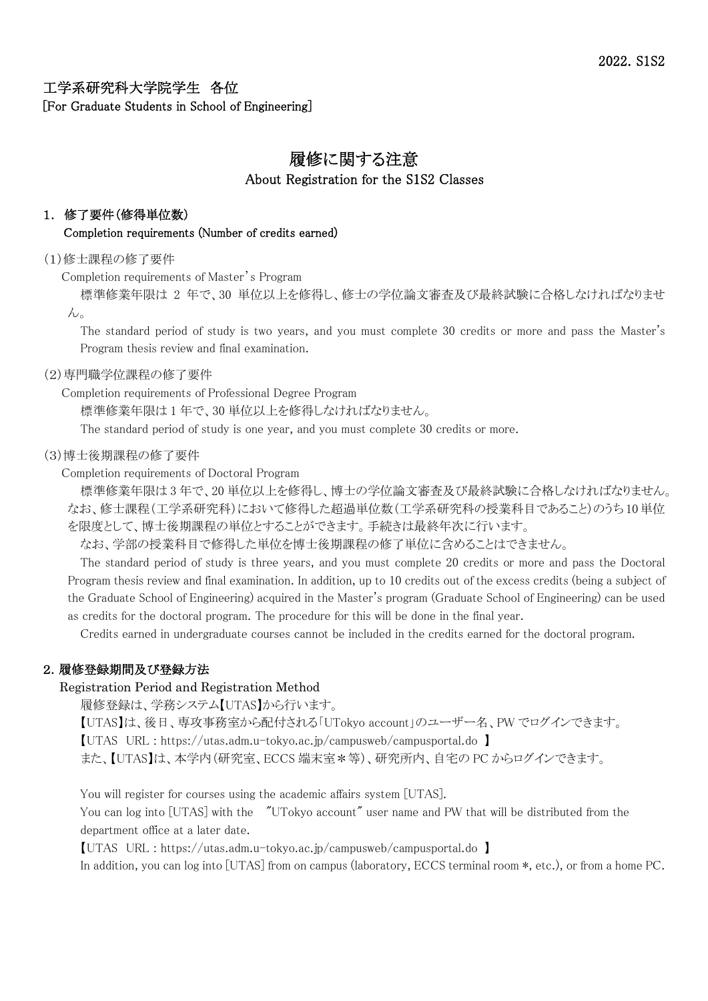工学系研究科大学院学生 各位 [For Graduate Students in School of Engineering]

# 履修に関する注意 About Registration for the S1S2 Classes

# 1. 修了要件(修得単位数)

#### Completion requirements (Number of credits earned)

#### (1)修士課程の修了要件

Completion requirements of Master's Program

標準修業年限は 2 年で、30 単位以上を修得し、修士の学位論文審査及び最終試験に合格しなければなりませ  $\mathcal{L}_{\alpha}$ 

The standard period of study is two years, and you must complete 30 credits or more and pass the Master's Program thesis review and final examination.

#### (2)専門職学位課程の修了要件

# Completion requirements of Professional Degree Program

標準修業年限は 1 年で、30 単位以上を修得しなければなりません。

The standard period of study is one year, and you must complete 30 credits or more.

#### (3)博士後期課程の修了要件

#### Completion requirements of Doctoral Program

標準修業年限は 3 年で、20 単位以上を修得し、博士の学位論文審査及び最終試験に合格しなければなりません。 なお、修士課程(工学系研究科)において修得した超過単位数(工学系研究科の授業科目であること)のうち10単位 を限度として、博士後期課程の単位とすることができます。手続きは最終年次に行います。

なお、学部の授業科目で修得した単位を博士後期課程の修了単位に含めることはできません。

The standard period of study is three years, and you must complete 20 credits or more and pass the Doctoral Program thesis review and final examination. In addition, up to 10 credits out of the excess credits (being a subject of the Graduate School of Engineering) acquired in the Master's program (Graduate School of Engineering) can be used as credits for the doctoral program. The procedure for this will be done in the final year.

Credits earned in undergraduate courses cannot be included in the credits earned for the doctoral program.

# 2.履修登録期間及び登録方法

# Registration Period and Registration Method

履修登録は、学務システム【UTAS】から行います。

【UTAS】は、後日、専攻事務室から配付される「UTokyo account」のユーザー名、PW でログインできます。

【UTAS URL : https://utas.adm.u-tokyo.ac.jp/campusweb/campusportal.do 】

また、【UTAS】は、本学内(研究室、ECCS 端末室\*等)、研究所内、自宅の PC からログインできます。

You will register for courses using the academic affairs system [UTAS].

You can log into [UTAS] with the "UTokyo account" user name and PW that will be distributed from the department office at a later date.

【UTAS URL : https://utas.adm.u-tokyo.ac.jp/campusweb/campusportal.do 】

In addition, you can log into [UTAS] from on campus (laboratory, ECCS terminal room  $\ast$ , etc.), or from a home PC.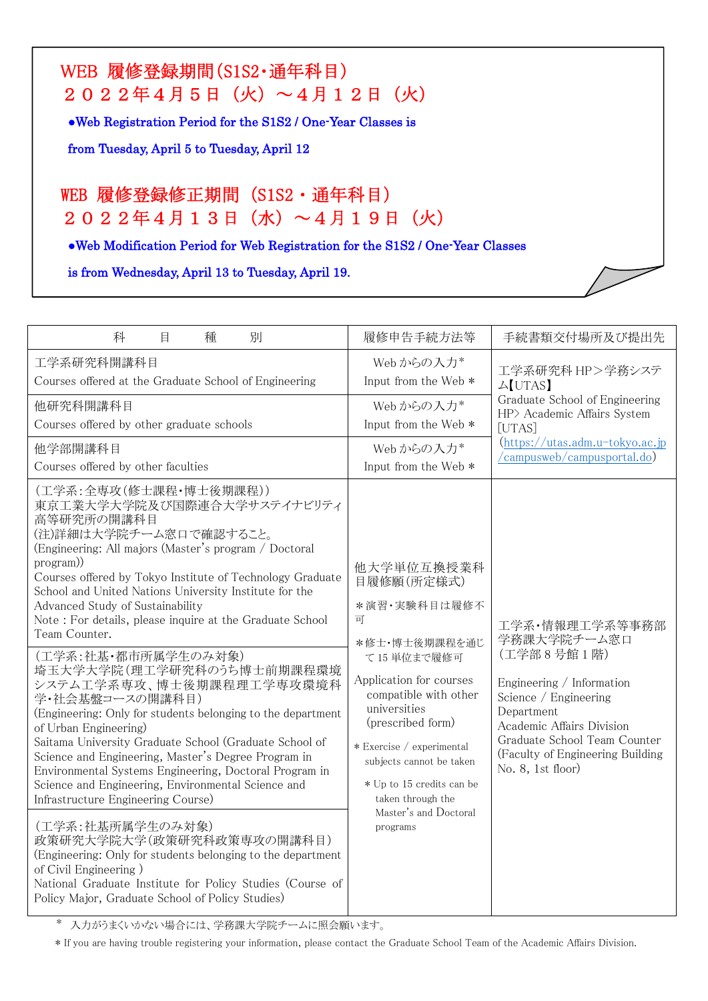# WEB 履修登録期間(S1S2・通年科目) 2022年4月5日(火)~4月12日(火)

●Web Registration Period for the S1S2 / One-Year Classes is

from Tuesday, April 5 to Tuesday, April 12

٦

I

# WEB 履修登録修正期間(S1S2・通年科目) 2022年4月13日(水)~4月19日(火)

●Web Modification Period for Web Registration for the S1S2 / One-Year Classes

is from Wednesday, April 13 to Tuesday, April 19.

| 科<br>別<br>種<br>目                                                                                                                                                                                                                                                                                                                                                                                                                                                                                                                                                                                                                                                                                                                                                                                                                                                                                                                                                                                                                                                                                                                      | 履修申告手続方法等                                                                                                                                                                                                                                                                                                             | 手続書類交付場所及び提出先                                                                                                                                                                                                                          |
|---------------------------------------------------------------------------------------------------------------------------------------------------------------------------------------------------------------------------------------------------------------------------------------------------------------------------------------------------------------------------------------------------------------------------------------------------------------------------------------------------------------------------------------------------------------------------------------------------------------------------------------------------------------------------------------------------------------------------------------------------------------------------------------------------------------------------------------------------------------------------------------------------------------------------------------------------------------------------------------------------------------------------------------------------------------------------------------------------------------------------------------|-----------------------------------------------------------------------------------------------------------------------------------------------------------------------------------------------------------------------------------------------------------------------------------------------------------------------|----------------------------------------------------------------------------------------------------------------------------------------------------------------------------------------------------------------------------------------|
| 工学系研究科開講科目<br>Courses offered at the Graduate School of Engineering                                                                                                                                                                                                                                                                                                                                                                                                                                                                                                                                                                                                                                                                                                                                                                                                                                                                                                                                                                                                                                                                   | Web からの入力*<br>Input from the Web *                                                                                                                                                                                                                                                                                    | 工学系研究科 HP>学務システ<br>$\triangle$ [UTAS]<br>Graduate School of Engineering<br>HP> Academic Affairs System<br>[UTAS]<br>$(\text{https://utas.addm.u-tokyo.ac.jp})$<br>/campusweb/campusportal.do)                                          |
| 他研究科開講科目<br>Courses offered by other graduate schools                                                                                                                                                                                                                                                                                                                                                                                                                                                                                                                                                                                                                                                                                                                                                                                                                                                                                                                                                                                                                                                                                 | Web からの入力*<br>Input from the Web *                                                                                                                                                                                                                                                                                    |                                                                                                                                                                                                                                        |
| 他学部開講科目<br>Courses offered by other faculties                                                                                                                                                                                                                                                                                                                                                                                                                                                                                                                                                                                                                                                                                                                                                                                                                                                                                                                                                                                                                                                                                         | Web からの入力*<br>Input from the Web *                                                                                                                                                                                                                                                                                    |                                                                                                                                                                                                                                        |
| (工学系:全専攻(修士課程・博士後期課程))<br>東京工業大学大学院及び国際連合大学サステイナビリティ<br>高等研究所の開講科目<br>(注)詳細は大学院チーム窓口で確認すること。<br>(Engineering: All majors (Master's program / Doctoral<br>program)<br>Courses offered by Tokyo Institute of Technology Graduate<br>School and United Nations University Institute for the<br>Advanced Study of Sustainability<br>Note: For details, please inquire at the Graduate School<br>Team Counter.<br>(工学系:社基·都市所属学生のみ対象)<br>埼玉大学大学院(理工学研究科のうち博士前期課程環境<br>システム工学系専攻、博士後期課程理工学専攻環境科<br>学・社会基盤コースの開講科目)<br>(Engineering: Only for students belonging to the department<br>of Urban Engineering)<br>Saitama University Graduate School (Graduate School of<br>Science and Engineering, Master's Degree Program in<br>Environmental Systems Engineering, Doctoral Program in<br>Science and Engineering, Environmental Science and<br>Infrastructure Engineering Course)<br>(工学系:社基所属学生のみ対象)<br>政策研究大学院大学(政策研究科政策専攻の開講科目)<br>(Engineering: Only for students belonging to the department<br>of Civil Engineering)<br>National Graduate Institute for Policy Studies (Course of<br>Policy Major, Graduate School of Policy Studies) | 他大学単位互換授業科<br>目履修願(所定様式)<br>*演習·実験科目は履修不<br>可<br>*修士·博士後期課程を通じ<br>て15単位まで履修可<br>Application for courses<br>compatible with other<br>universities<br>(prescribed form)<br>* Exercise / experimental<br>subjects cannot be taken<br>* Up to 15 credits can be<br>taken through the<br>Master's and Doctoral<br>programs | 工学系·情報理工学系等事務部<br>学務課大学院チーム窓口<br>(工学部8号館1階)<br>Engineering / Information<br>Science / Engineering<br>Department<br>Academic Affairs Division<br>Graduate School Team Counter<br>(Faculty of Engineering Building)<br>No. 8, 1st floor) |

\* 入力がうまくいかない場合には、学務課大学院チームに照会願います。

\* If you are having trouble registering your information, please contact the Graduate School Team of the Academic Affairs Division.